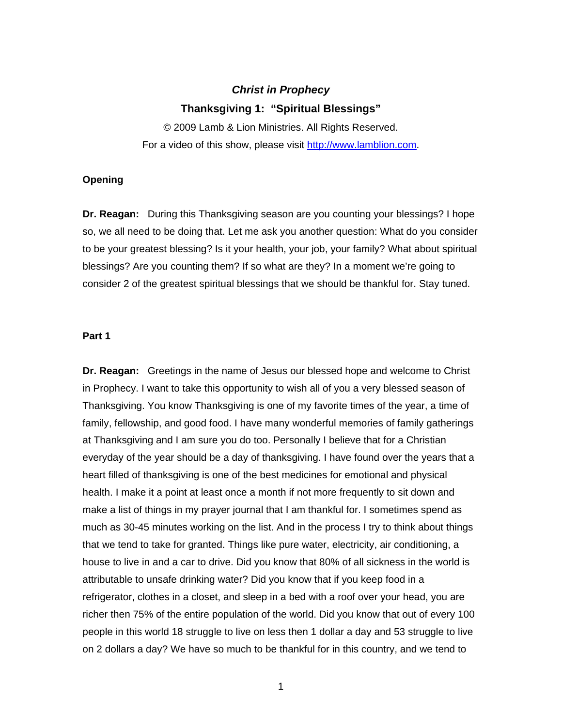# *Christ in Prophecy*  **Thanksgiving 1: "Spiritual Blessings"**

© 2009 Lamb & Lion Ministries. All Rights Reserved. For a video of this show, please visit [http://www.lamblion.com.](http://www.lamblion.com/)

# **Opening**

**Dr. Reagan:** During this Thanksgiving season are you counting your blessings? I hope so, we all need to be doing that. Let me ask you another question: What do you consider to be your greatest blessing? Is it your health, your job, your family? What about spiritual blessings? Are you counting them? If so what are they? In a moment we're going to consider 2 of the greatest spiritual blessings that we should be thankful for. Stay tuned.

## **Part 1**

**Dr. Reagan:** Greetings in the name of Jesus our blessed hope and welcome to Christ in Prophecy. I want to take this opportunity to wish all of you a very blessed season of Thanksgiving. You know Thanksgiving is one of my favorite times of the year, a time of family, fellowship, and good food. I have many wonderful memories of family gatherings at Thanksgiving and I am sure you do too. Personally I believe that for a Christian everyday of the year should be a day of thanksgiving. I have found over the years that a heart filled of thanksgiving is one of the best medicines for emotional and physical health. I make it a point at least once a month if not more frequently to sit down and make a list of things in my prayer journal that I am thankful for. I sometimes spend as much as 30-45 minutes working on the list. And in the process I try to think about things that we tend to take for granted. Things like pure water, electricity, air conditioning, a house to live in and a car to drive. Did you know that 80% of all sickness in the world is attributable to unsafe drinking water? Did you know that if you keep food in a refrigerator, clothes in a closet, and sleep in a bed with a roof over your head, you are richer then 75% of the entire population of the world. Did you know that out of every 100 people in this world 18 struggle to live on less then 1 dollar a day and 53 struggle to live on 2 dollars a day? We have so much to be thankful for in this country, and we tend to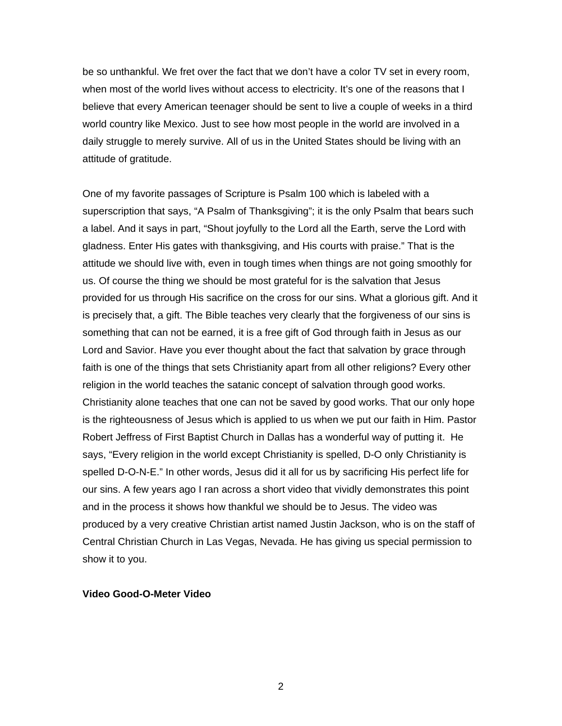be so unthankful. We fret over the fact that we don't have a color TV set in every room, when most of the world lives without access to electricity. It's one of the reasons that I believe that every American teenager should be sent to live a couple of weeks in a third world country like Mexico. Just to see how most people in the world are involved in a daily struggle to merely survive. All of us in the United States should be living with an attitude of gratitude.

One of my favorite passages of Scripture is Psalm 100 which is labeled with a superscription that says, "A Psalm of Thanksgiving"; it is the only Psalm that bears such a label. And it says in part, "Shout joyfully to the Lord all the Earth, serve the Lord with gladness. Enter His gates with thanksgiving, and His courts with praise." That is the attitude we should live with, even in tough times when things are not going smoothly for us. Of course the thing we should be most grateful for is the salvation that Jesus provided for us through His sacrifice on the cross for our sins. What a glorious gift. And it is precisely that, a gift. The Bible teaches very clearly that the forgiveness of our sins is something that can not be earned, it is a free gift of God through faith in Jesus as our Lord and Savior. Have you ever thought about the fact that salvation by grace through faith is one of the things that sets Christianity apart from all other religions? Every other religion in the world teaches the satanic concept of salvation through good works. Christianity alone teaches that one can not be saved by good works. That our only hope is the righteousness of Jesus which is applied to us when we put our faith in Him. Pastor Robert Jeffress of First Baptist Church in Dallas has a wonderful way of putting it. He says, "Every religion in the world except Christianity is spelled, D-O only Christianity is spelled D-O-N-E." In other words, Jesus did it all for us by sacrificing His perfect life for our sins. A few years ago I ran across a short video that vividly demonstrates this point and in the process it shows how thankful we should be to Jesus. The video was produced by a very creative Christian artist named Justin Jackson, who is on the staff of Central Christian Church in Las Vegas, Nevada. He has giving us special permission to show it to you.

## **Video Good-O-Meter Video**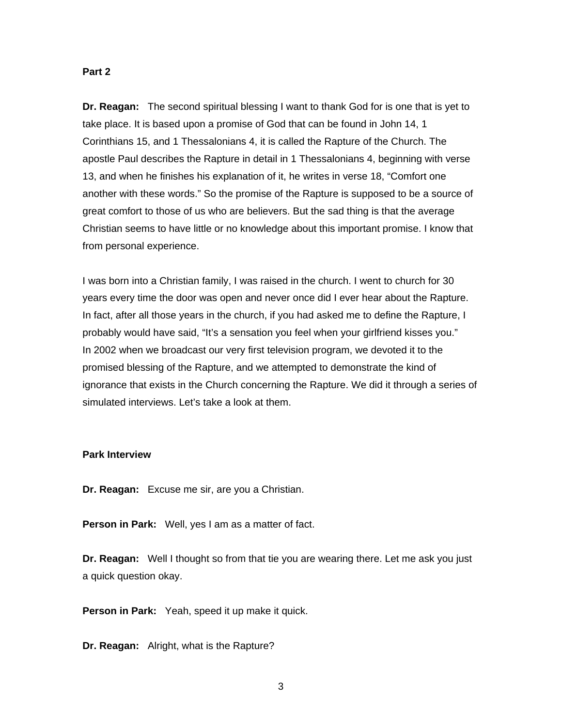## **Part 2**

**Dr. Reagan:** The second spiritual blessing I want to thank God for is one that is yet to take place. It is based upon a promise of God that can be found in John 14, 1 Corinthians 15, and 1 Thessalonians 4, it is called the Rapture of the Church. The apostle Paul describes the Rapture in detail in 1 Thessalonians 4, beginning with verse 13, and when he finishes his explanation of it, he writes in verse 18, "Comfort one another with these words." So the promise of the Rapture is supposed to be a source of great comfort to those of us who are believers. But the sad thing is that the average Christian seems to have little or no knowledge about this important promise. I know that from personal experience.

I was born into a Christian family, I was raised in the church. I went to church for 30 years every time the door was open and never once did I ever hear about the Rapture. In fact, after all those years in the church, if you had asked me to define the Rapture, I probably would have said, "It's a sensation you feel when your girlfriend kisses you." In 2002 when we broadcast our very first television program, we devoted it to the promised blessing of the Rapture, and we attempted to demonstrate the kind of ignorance that exists in the Church concerning the Rapture. We did it through a series of simulated interviews. Let's take a look at them.

# **Park Interview**

**Dr. Reagan:** Excuse me sir, are you a Christian.

**Person in Park:** Well, yes I am as a matter of fact.

**Dr. Reagan:** Well I thought so from that tie you are wearing there. Let me ask you just a quick question okay.

**Person in Park:** Yeah, speed it up make it quick.

**Dr. Reagan:** Alright, what is the Rapture?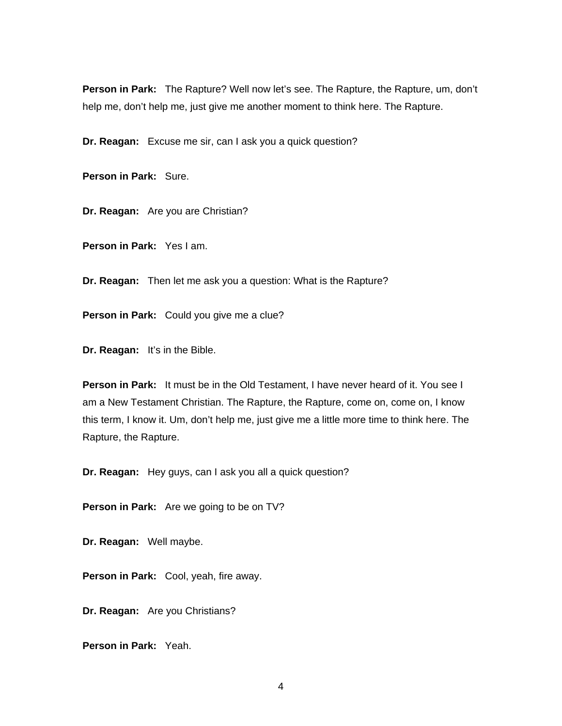**Person in Park:** The Rapture? Well now let's see. The Rapture, the Rapture, um, don't help me, don't help me, just give me another moment to think here. The Rapture.

**Dr. Reagan:** Excuse me sir, can I ask you a quick question?

**Person in Park:** Sure.

**Dr. Reagan:** Are you are Christian?

**Person in Park:** Yes I am.

**Dr. Reagan:** Then let me ask you a question: What is the Rapture?

**Person in Park:** Could you give me a clue?

**Dr. Reagan:** It's in the Bible.

**Person in Park:** It must be in the Old Testament, I have never heard of it. You see I am a New Testament Christian. The Rapture, the Rapture, come on, come on, I know this term, I know it. Um, don't help me, just give me a little more time to think here. The Rapture, the Rapture.

**Dr. Reagan:** Hey guys, can I ask you all a quick question?

**Person in Park:** Are we going to be on TV?

**Dr. Reagan:** Well maybe.

**Person in Park:** Cool, yeah, fire away.

**Dr. Reagan:** Are you Christians?

**Person in Park:** Yeah.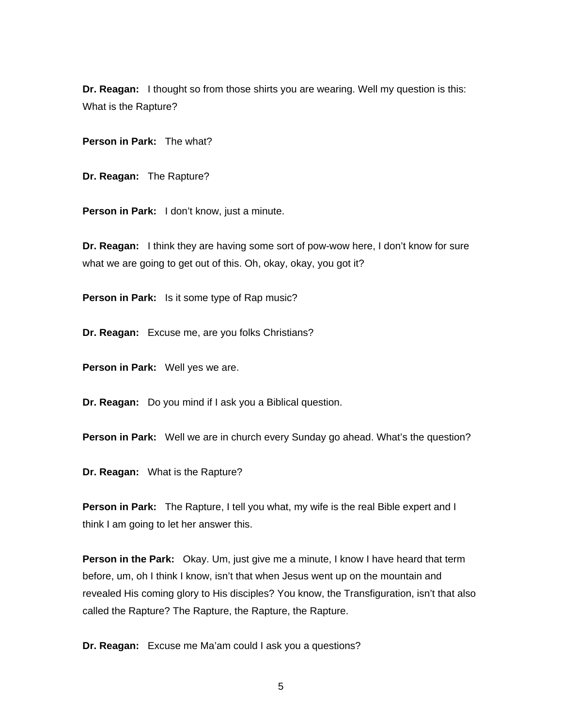**Dr. Reagan:** I thought so from those shirts you are wearing. Well my question is this: What is the Rapture?

**Person in Park:** The what?

**Dr. Reagan:** The Rapture?

**Person in Park:** I don't know, just a minute.

**Dr. Reagan:** I think they are having some sort of pow-wow here, I don't know for sure what we are going to get out of this. Oh, okay, okay, you got it?

**Person in Park:** Is it some type of Rap music?

**Dr. Reagan:** Excuse me, are you folks Christians?

**Person in Park:** Well yes we are.

**Dr. Reagan:** Do you mind if I ask you a Biblical question.

**Person in Park:** Well we are in church every Sunday go ahead. What's the question?

**Dr. Reagan:** What is the Rapture?

**Person in Park:** The Rapture, I tell you what, my wife is the real Bible expert and I think I am going to let her answer this.

**Person in the Park:** Okay. Um, just give me a minute, I know I have heard that term before, um, oh I think I know, isn't that when Jesus went up on the mountain and revealed His coming glory to His disciples? You know, the Transfiguration, isn't that also called the Rapture? The Rapture, the Rapture, the Rapture.

**Dr. Reagan:** Excuse me Ma'am could I ask you a questions?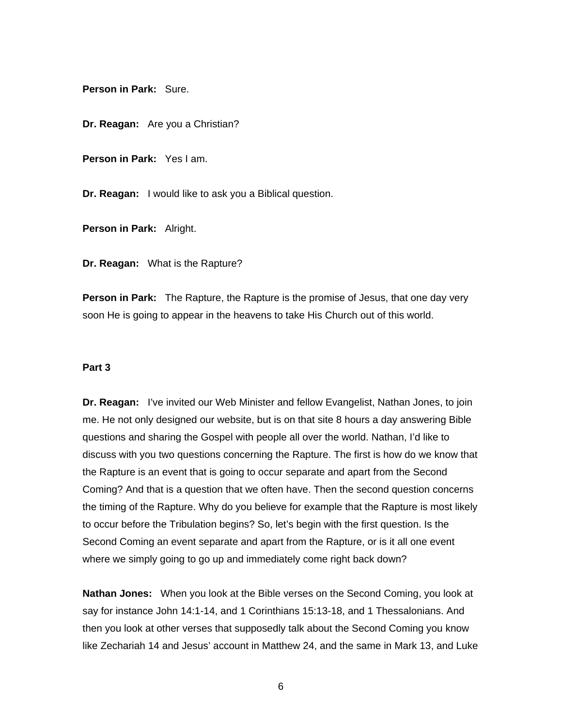**Person in Park:** Sure.

**Dr. Reagan:** Are you a Christian?

**Person in Park:** Yes I am.

**Dr. Reagan:** I would like to ask you a Biblical question.

**Person in Park:** Alright.

**Dr. Reagan:** What is the Rapture?

**Person in Park:** The Rapture, the Rapture is the promise of Jesus, that one day very soon He is going to appear in the heavens to take His Church out of this world.

#### **Part 3**

**Dr. Reagan:** I've invited our Web Minister and fellow Evangelist, Nathan Jones, to join me. He not only designed our website, but is on that site 8 hours a day answering Bible questions and sharing the Gospel with people all over the world. Nathan, I'd like to discuss with you two questions concerning the Rapture. The first is how do we know that the Rapture is an event that is going to occur separate and apart from the Second Coming? And that is a question that we often have. Then the second question concerns the timing of the Rapture. Why do you believe for example that the Rapture is most likely to occur before the Tribulation begins? So, let's begin with the first question. Is the Second Coming an event separate and apart from the Rapture, or is it all one event where we simply going to go up and immediately come right back down?

**Nathan Jones:** When you look at the Bible verses on the Second Coming, you look at say for instance John 14:1-14, and 1 Corinthians 15:13-18, and 1 Thessalonians. And then you look at other verses that supposedly talk about the Second Coming you know like Zechariah 14 and Jesus' account in Matthew 24, and the same in Mark 13, and Luke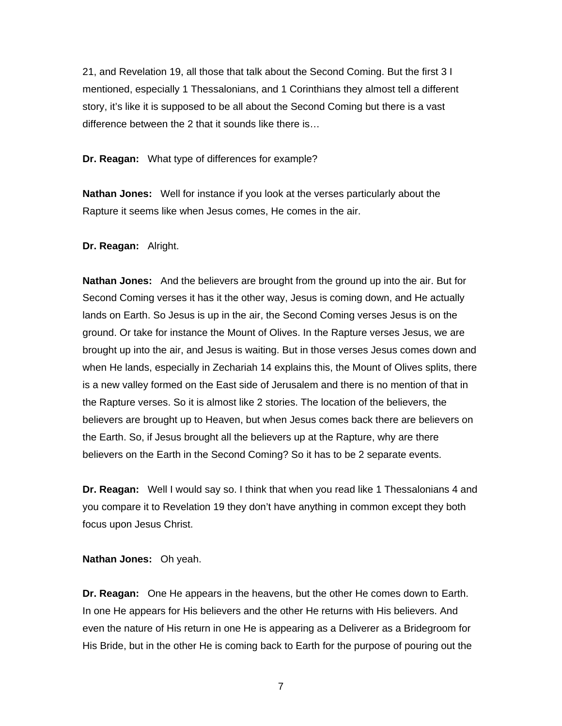21, and Revelation 19, all those that talk about the Second Coming. But the first 3 I mentioned, especially 1 Thessalonians, and 1 Corinthians they almost tell a different story, it's like it is supposed to be all about the Second Coming but there is a vast difference between the 2 that it sounds like there is…

**Dr. Reagan:** What type of differences for example?

**Nathan Jones:** Well for instance if you look at the verses particularly about the Rapture it seems like when Jesus comes, He comes in the air.

## **Dr. Reagan:** Alright.

**Nathan Jones:** And the believers are brought from the ground up into the air. But for Second Coming verses it has it the other way, Jesus is coming down, and He actually lands on Earth. So Jesus is up in the air, the Second Coming verses Jesus is on the ground. Or take for instance the Mount of Olives. In the Rapture verses Jesus, we are brought up into the air, and Jesus is waiting. But in those verses Jesus comes down and when He lands, especially in Zechariah 14 explains this, the Mount of Olives splits, there is a new valley formed on the East side of Jerusalem and there is no mention of that in the Rapture verses. So it is almost like 2 stories. The location of the believers, the believers are brought up to Heaven, but when Jesus comes back there are believers on the Earth. So, if Jesus brought all the believers up at the Rapture, why are there believers on the Earth in the Second Coming? So it has to be 2 separate events.

**Dr. Reagan:** Well I would say so. I think that when you read like 1 Thessalonians 4 and you compare it to Revelation 19 they don't have anything in common except they both focus upon Jesus Christ.

**Nathan Jones:** Oh yeah.

**Dr. Reagan:** One He appears in the heavens, but the other He comes down to Earth. In one He appears for His believers and the other He returns with His believers. And even the nature of His return in one He is appearing as a Deliverer as a Bridegroom for His Bride, but in the other He is coming back to Earth for the purpose of pouring out the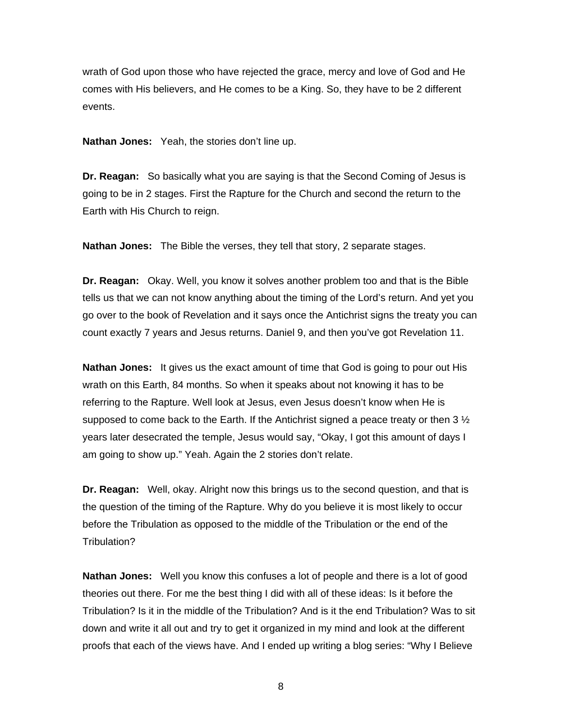wrath of God upon those who have rejected the grace, mercy and love of God and He comes with His believers, and He comes to be a King. So, they have to be 2 different events.

**Nathan Jones:** Yeah, the stories don't line up.

**Dr. Reagan:** So basically what you are saying is that the Second Coming of Jesus is going to be in 2 stages. First the Rapture for the Church and second the return to the Earth with His Church to reign.

**Nathan Jones:** The Bible the verses, they tell that story, 2 separate stages.

**Dr. Reagan:** Okay. Well, you know it solves another problem too and that is the Bible tells us that we can not know anything about the timing of the Lord's return. And yet you go over to the book of Revelation and it says once the Antichrist signs the treaty you can count exactly 7 years and Jesus returns. Daniel 9, and then you've got Revelation 11.

**Nathan Jones:** It gives us the exact amount of time that God is going to pour out His wrath on this Earth, 84 months. So when it speaks about not knowing it has to be referring to the Rapture. Well look at Jesus, even Jesus doesn't know when He is supposed to come back to the Earth. If the Antichrist signed a peace treaty or then 3  $\frac{1}{2}$ years later desecrated the temple, Jesus would say, "Okay, I got this amount of days I am going to show up." Yeah. Again the 2 stories don't relate.

**Dr. Reagan:** Well, okay. Alright now this brings us to the second question, and that is the question of the timing of the Rapture. Why do you believe it is most likely to occur before the Tribulation as opposed to the middle of the Tribulation or the end of the Tribulation?

**Nathan Jones:** Well you know this confuses a lot of people and there is a lot of good theories out there. For me the best thing I did with all of these ideas: Is it before the Tribulation? Is it in the middle of the Tribulation? And is it the end Tribulation? Was to sit down and write it all out and try to get it organized in my mind and look at the different proofs that each of the views have. And I ended up writing a blog series: "Why I Believe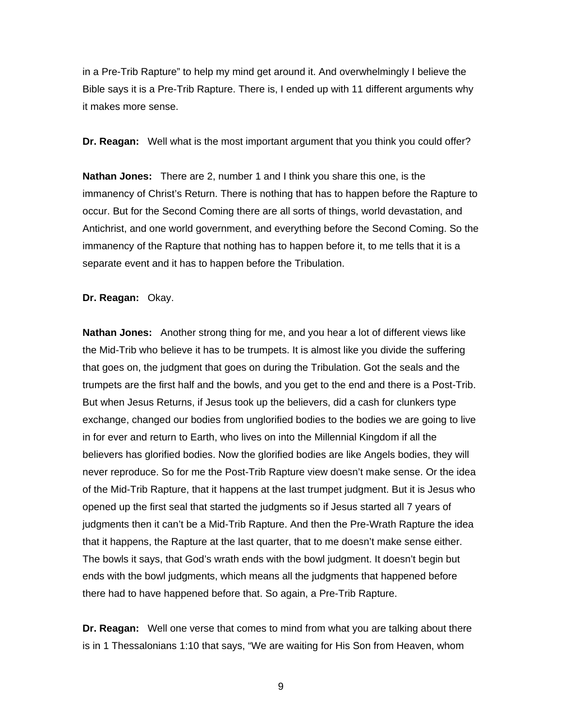in a Pre-Trib Rapture" to help my mind get around it. And overwhelmingly I believe the Bible says it is a Pre-Trib Rapture. There is, I ended up with 11 different arguments why it makes more sense.

**Dr. Reagan:** Well what is the most important argument that you think you could offer?

**Nathan Jones:** There are 2, number 1 and I think you share this one, is the immanency of Christ's Return. There is nothing that has to happen before the Rapture to occur. But for the Second Coming there are all sorts of things, world devastation, and Antichrist, and one world government, and everything before the Second Coming. So the immanency of the Rapture that nothing has to happen before it, to me tells that it is a separate event and it has to happen before the Tribulation.

**Dr. Reagan:** Okay.

**Nathan Jones:** Another strong thing for me, and you hear a lot of different views like the Mid-Trib who believe it has to be trumpets. It is almost like you divide the suffering that goes on, the judgment that goes on during the Tribulation. Got the seals and the trumpets are the first half and the bowls, and you get to the end and there is a Post-Trib. But when Jesus Returns, if Jesus took up the believers, did a cash for clunkers type exchange, changed our bodies from unglorified bodies to the bodies we are going to live in for ever and return to Earth, who lives on into the Millennial Kingdom if all the believers has glorified bodies. Now the glorified bodies are like Angels bodies, they will never reproduce. So for me the Post-Trib Rapture view doesn't make sense. Or the idea of the Mid-Trib Rapture, that it happens at the last trumpet judgment. But it is Jesus who opened up the first seal that started the judgments so if Jesus started all 7 years of judgments then it can't be a Mid-Trib Rapture. And then the Pre-Wrath Rapture the idea that it happens, the Rapture at the last quarter, that to me doesn't make sense either. The bowls it says, that God's wrath ends with the bowl judgment. It doesn't begin but ends with the bowl judgments, which means all the judgments that happened before there had to have happened before that. So again, a Pre-Trib Rapture.

**Dr. Reagan:** Well one verse that comes to mind from what you are talking about there is in 1 Thessalonians 1:10 that says, "We are waiting for His Son from Heaven, whom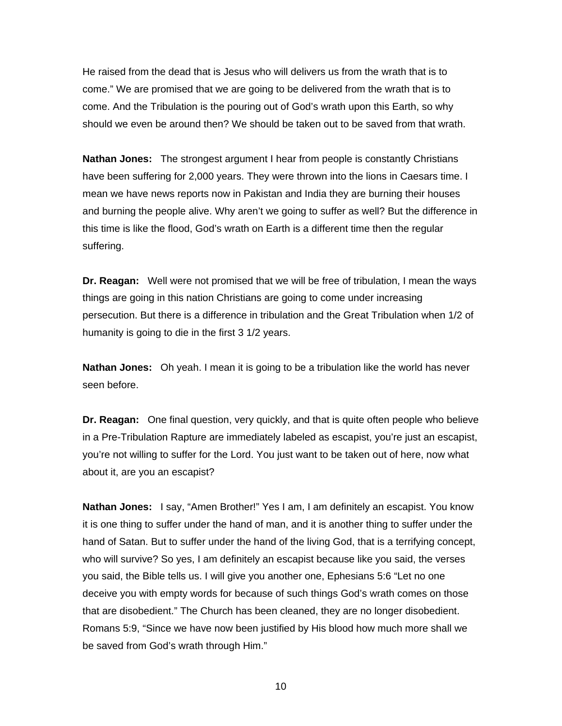He raised from the dead that is Jesus who will delivers us from the wrath that is to come." We are promised that we are going to be delivered from the wrath that is to come. And the Tribulation is the pouring out of God's wrath upon this Earth, so why should we even be around then? We should be taken out to be saved from that wrath.

**Nathan Jones:** The strongest argument I hear from people is constantly Christians have been suffering for 2,000 years. They were thrown into the lions in Caesars time. I mean we have news reports now in Pakistan and India they are burning their houses and burning the people alive. Why aren't we going to suffer as well? But the difference in this time is like the flood, God's wrath on Earth is a different time then the regular suffering.

**Dr. Reagan:** Well were not promised that we will be free of tribulation, I mean the ways things are going in this nation Christians are going to come under increasing persecution. But there is a difference in tribulation and the Great Tribulation when 1/2 of humanity is going to die in the first 3 1/2 years.

**Nathan Jones:** Oh yeah. I mean it is going to be a tribulation like the world has never seen before.

**Dr. Reagan:** One final question, very quickly, and that is quite often people who believe in a Pre-Tribulation Rapture are immediately labeled as escapist, you're just an escapist, you're not willing to suffer for the Lord. You just want to be taken out of here, now what about it, are you an escapist?

**Nathan Jones:** I say, "Amen Brother!" Yes I am, I am definitely an escapist. You know it is one thing to suffer under the hand of man, and it is another thing to suffer under the hand of Satan. But to suffer under the hand of the living God, that is a terrifying concept, who will survive? So yes, I am definitely an escapist because like you said, the verses you said, the Bible tells us. I will give you another one, Ephesians 5:6 "Let no one deceive you with empty words for because of such things God's wrath comes on those that are disobedient." The Church has been cleaned, they are no longer disobedient. Romans 5:9, "Since we have now been justified by His blood how much more shall we be saved from God's wrath through Him."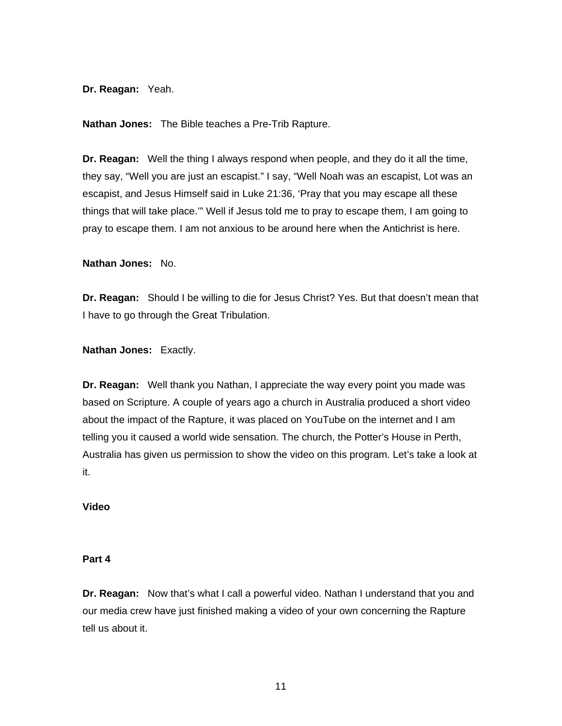**Dr. Reagan:** Yeah.

**Nathan Jones:** The Bible teaches a Pre-Trib Rapture.

**Dr. Reagan:** Well the thing I always respond when people, and they do it all the time, they say, "Well you are just an escapist." I say, "Well Noah was an escapist, Lot was an escapist, and Jesus Himself said in Luke 21:36, 'Pray that you may escape all these things that will take place.'" Well if Jesus told me to pray to escape them, I am going to pray to escape them. I am not anxious to be around here when the Antichrist is here.

**Nathan Jones:** No.

**Dr. Reagan:** Should I be willing to die for Jesus Christ? Yes. But that doesn't mean that I have to go through the Great Tribulation.

**Nathan Jones:** Exactly.

**Dr. Reagan:** Well thank you Nathan, I appreciate the way every point you made was based on Scripture. A couple of years ago a church in Australia produced a short video about the impact of the Rapture, it was placed on YouTube on the internet and I am telling you it caused a world wide sensation. The church, the Potter's House in Perth, Australia has given us permission to show the video on this program. Let's take a look at it.

## **Video**

## **Part 4**

**Dr. Reagan:** Now that's what I call a powerful video. Nathan I understand that you and our media crew have just finished making a video of your own concerning the Rapture tell us about it.